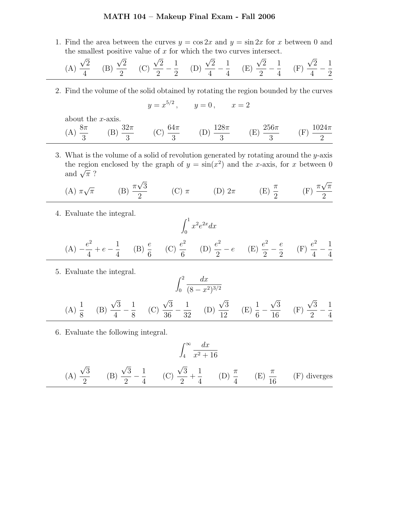## MATH 104 – Makeup Final Exam - Fall 2006

1. Find the area between the curves  $y = \cos 2x$  and  $y = \sin 2x$  for x between 0 and the smallest positive value of  $x$  for which the two curves intersect.

(A) 
$$
\frac{\sqrt{2}}{4}
$$
 (B)  $\frac{\sqrt{2}}{2}$  (C)  $\frac{\sqrt{2}}{2} - \frac{1}{2}$  (D)  $\frac{\sqrt{2}}{4} - \frac{1}{4}$  (E)  $\frac{\sqrt{2}}{2} - \frac{1}{4}$  (F)  $\frac{\sqrt{2}}{4} - \frac{1}{2}$ 

2. Find the volume of the solid obtained by rotating the region bounded by the curves

$$
y = x^{5/2}
$$
,  $y = 0$ ,  $x = 2$ 

about the x-axis.

| $\ldots$ 8 $\pi$<br>$\overline{\phantom{a}}$ | $\langle \cdot \rangle_{\pi}$ | $h\Delta\pi$ | $128\pi$ | $\chi$ 256 $\pi$ | $1024\pi$                |
|----------------------------------------------|-------------------------------|--------------|----------|------------------|--------------------------|
| (44)                                         |                               |              |          |                  | $\overline{\phantom{a}}$ |

3. What is the volume of a solid of revolution generated by rotating around the y-axis the region enclosed by the graph of  $y = sin(x^2)$  and the x-axis, for x between 0 and  $\sqrt{\pi}$ ?

(A) 
$$
\pi \sqrt{\pi}
$$
 \t(B)  $\frac{\pi \sqrt{3}}{2}$  \t(C)  $\pi$  \t(D)  $2\pi$  \t(E)  $\frac{\pi}{2}$  \t(F)  $\frac{\pi \sqrt{\pi}}{2}$ 

4. Evaluate the integral.

$$
\int_0^1 x^2 e^{2x} dx
$$
  
(A)  $-\frac{e^2}{4} + e - \frac{1}{4}$  (B)  $\frac{e}{6}$  (C)  $\frac{e^2}{6}$  (D)  $\frac{e^2}{2} - e$  (E)  $\frac{e^2}{2} - \frac{e}{2}$  (F)  $\frac{e^2}{4} - \frac{1}{4}$ 

5. Evaluate the integral.

(A) 
$$
\frac{1}{8}
$$
 (B)  $\frac{\sqrt{3}}{4} - \frac{1}{8}$  (C)  $\frac{\sqrt{3}}{36} - \frac{1}{32}$  (D)  $\frac{\sqrt{3}}{12}$  (E)  $\frac{1}{6} - \frac{\sqrt{3}}{16}$  (F)  $\frac{\sqrt{3}}{2} - \frac{1}{4}$ 

6. Evaluate the following integral.

$$
\int_4^\infty \frac{dx}{x^2 + 16}
$$

(A) 
$$
\frac{\sqrt{3}}{2}
$$
 (B)  $\frac{\sqrt{3}}{2} - \frac{1}{4}$  (C)  $\frac{\sqrt{3}}{2} + \frac{1}{4}$  (D)  $\frac{\pi}{4}$  (E)  $\frac{\pi}{16}$  (F) diverges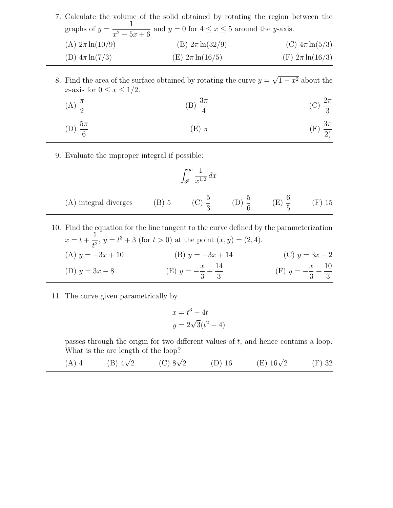|                      | 7. Calculate the volume of the solid obtained by rotating the region between the          |                      |
|----------------------|-------------------------------------------------------------------------------------------|----------------------|
|                      | graphs of $y = \frac{1}{x^2 - 5x + 6}$ and $y = 0$ for $4 \le x \le 5$ around the y-axis. |                      |
| (A) $2\pi \ln(10/9)$ | (B) $2\pi \ln(32/9)$                                                                      | (C) $4\pi \ln(5/3)$  |
| (D) $4\pi \ln(7/3)$  | (E) $2\pi \ln(16/5)$                                                                      | (F) $2\pi \ln(16/3)$ |

8. Find the area of the surface obtained by rotating the curve  $y = \sqrt{1 - x^2}$  about the x-axis for  $0 \leq x \leq 1/2$ .

(A) 
$$
\frac{\pi}{2}
$$
 \t\t (B)  $\frac{3\pi}{4}$  \t\t (C)  $\frac{2\pi}{3}$ 

(D) 
$$
\frac{5\pi}{6}
$$
 (E)  $\pi$  (F)  $\frac{3\pi}{2}$ 

9. Evaluate the improper integral if possible:

$$
\int_{3^5}^{\infty} \frac{1}{x^{1.2}} \, dx
$$

| (A) integral diverges | $(B)$ 5 |  |  |  | $(F)$ 15 |
|-----------------------|---------|--|--|--|----------|
|-----------------------|---------|--|--|--|----------|

- 10. Find the equation for the line tangent to the curve defined by the parameterization  $x = t +$ 1  $\frac{1}{t^2}$ ,  $y = t^3 + 3$  (for  $t > 0$ ) at the point  $(x, y) = (2, 4)$ . (A)  $y = -3x + 10$  (B)  $y = -3x + 14$  (C)  $y = 3x - 2$ (D)  $y = 3x - 8$  (E)  $y = \boldsymbol{x}$ 3  $+$ 14 3  $(F)$   $y = \overline{x}$ 3  $+$ 10 3
- 11. The curve given parametrically by

$$
x = t3 - 4t
$$

$$
y = 2\sqrt{3}(t2 - 4)
$$

passes through the origin for two different values of t, and hence contains a loop. What is the arc length of the loop?

(A) 4 (B) 
$$
4\sqrt{2}
$$
 (C)  $8\sqrt{2}$  (D) 16 (E)  $16\sqrt{2}$  (F) 32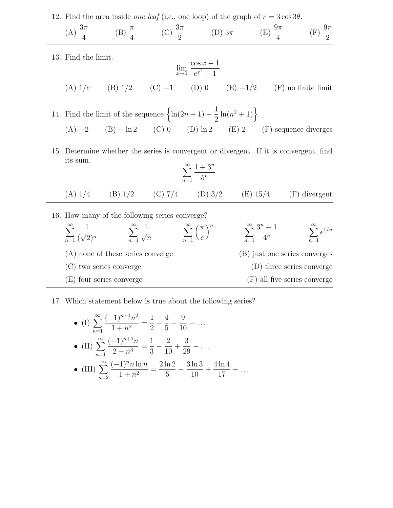12. Find the area inside *one leaf* (i.e., one loop) of the graph of  $r = 3 \cos 3\theta$ .

(A) 
$$
\frac{3\pi}{4}
$$
 \t(B)  $\frac{\pi}{4}$  \t(C)  $\frac{3\pi}{2}$  \t(D)  $3\pi$  \t(E)  $\frac{9\pi}{4}$  \t(F)  $\frac{9\pi}{2}$ 

13. Find the limit.

$$
\lim_{x \to 0} \frac{\cos x - 1}{e^{x^2} - 1}
$$

(A) 
$$
1/e
$$
 (B)  $1/2$  (C) -1 (D) 0 (E) -1/2 (F) no finite limit

- 14. Find the limit of the sequence  $\left\{\ln(2n+1) \right\}$ 1 2  $\ln(n^2+1)$ . (A)  $-2$  (B)  $-\ln 2$  (C) 0 (D)  $\ln 2$  (E) 2 (F) sequence diverges
- 15. Determine whether the series is convergent or divergent. If it is convergent, find its sum.

$$
\sum_{n=1}^{\infty} \frac{1+3^n}{5^n}
$$

- (A)  $1/4$  (B)  $1/2$  (C)  $7/4$  (D)  $3/2$  (E)  $15/4$  (F) divergent
- 16. How many of the following series converge?  $\sum^{\infty}$  $n=1$ 1  $\overline{(\sqrt{2})^n}$  $\sum^{\infty}$  $n=1$ 1  $\sqrt{n}$  $\sum^{\infty}$  $n=1$  $\sqrt{\pi}$ e  $\big)^n$   $\sum^{\infty}$  $n=1$  $\frac{3^n-1}{2}$  $4^n$  $\sum^{\infty}$  $n=1$  $e^{1/n}$ (A) none of these series converge (B) just one series converges (C) two series converge (D) three series converge (E) four series converge (F) all five series converge
- 17. Which statement below is true about the following series?

• (I) 
$$
\sum_{n=1}^{\infty} \frac{(-1)^{n+1} n^2}{1 + n^2} = \frac{1}{2} - \frac{4}{5} + \frac{9}{10} - \dots
$$
  
\n• (II) 
$$
\sum_{n=1}^{\infty} \frac{(-1)^{n+1} n}{2 + n^3} = \frac{1}{3} - \frac{2}{10} + \frac{3}{29} - \dots
$$
  
\n• (III) 
$$
\sum_{n=2}^{\infty} \frac{(-1)^n n \ln n}{1 + n^2} = \frac{2 \ln 2}{5} - \frac{3 \ln 3}{10} + \frac{4 \ln 4}{17} - \dots
$$